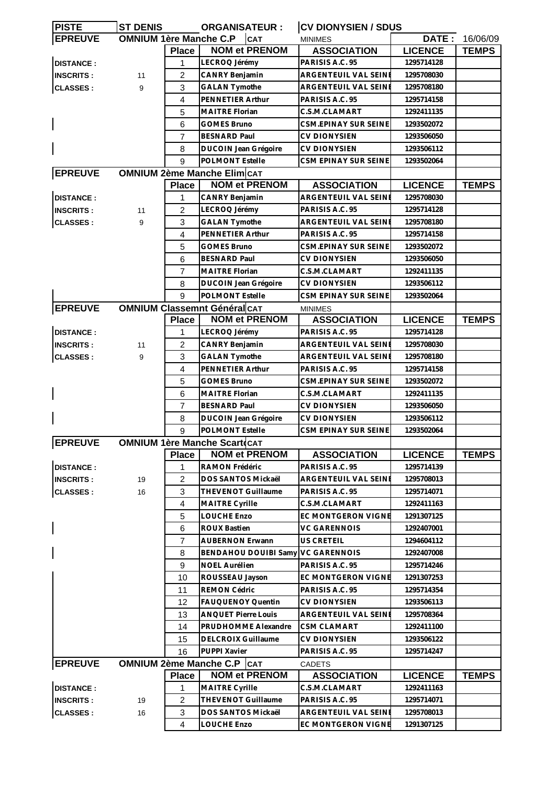| <b>PISTE</b>     | <b>ST DENIS</b>               |                | <b>ORGANISATEUR:</b>                | <b>CV DIONYSIEN / SDUS</b>           |                |              |
|------------------|-------------------------------|----------------|-------------------------------------|--------------------------------------|----------------|--------------|
| <b>EPREUVE</b>   | <b>OMNIUM 1ère Manche C.P</b> |                | <b>CAT</b>                          | <b>MINIMES</b>                       | DATE:          | 16/06/09     |
|                  |                               | <b>Place</b>   | <b>NOM et PRENOM</b>                | <b>ASSOCIATION</b>                   | <b>LICENCE</b> | <b>TEMPS</b> |
| <b>DISTANCE:</b> |                               | 1              | LECROQ Jérémy                       | PARISIS A.C. 95                      | 1295714128     |              |
| <b>INSCRITS:</b> | 11                            | $\overline{c}$ | CANRY Benjamin                      | ARGENTEUIL VAL SEINE                 | 1295708030     |              |
| <b>CLASSES:</b>  | 9                             | 3              | <b>GALAN Tymothe</b>                | ARGENTEUIL VAL SEINI                 | 1295708180     |              |
|                  |                               | $\overline{4}$ | PENNETIER Arthur                    | PARISIS A.C. 95                      | 1295714158     |              |
|                  |                               | 5              | <b>MAITRE Florian</b>               | C.S.M.CLAMART                        | 1292411135     |              |
|                  |                               | 6              | <b>GOMES Bruno</b>                  | CSM.EPINAY SUR SEINE                 | 1293502072     |              |
|                  |                               | 7              | <b>BESNARD Paul</b>                 | <b>CV DIONYSIEN</b>                  | 1293506050     |              |
|                  |                               | 8              | DUCOIN Jean Grégoire                | <b>CV DIONYSIEN</b>                  | 1293506112     |              |
|                  |                               | 9              | POLMONT Estelle                     | CSM EPINAY SUR SEINE                 | 1293502064     |              |
| <b>EPREUVE</b>   |                               |                | <b>OMNIUM 2ème Manche Elim CAT</b>  |                                      |                |              |
|                  |                               | <b>Place</b>   | <b>NOM et PRENOM</b>                | <b>ASSOCIATION</b>                   | <b>LICENCE</b> | <b>TEMPS</b> |
| <b>DISTANCE:</b> |                               | 1              | CANRY Benjamin                      | <b>ARGENTEUIL VAL SEINE</b>          | 1295708030     |              |
| <b>INSCRITS:</b> | 11                            | $\overline{c}$ | LECROQ Jérémy                       | PARISIS A.C. 95                      | 1295714128     |              |
| <b>CLASSES:</b>  | 9                             | 3              | <b>GALAN Tymothe</b>                | ARGENTEUIL VAL SEINE                 | 1295708180     |              |
|                  |                               | 4              | PENNETIER Arthur                    | PARISIS A.C. 95                      | 1295714158     |              |
|                  |                               | 5              | <b>GOMES Bruno</b>                  | <b>CSM.EPINAY SUR SEINE</b>          | 1293502072     |              |
|                  |                               | 6              | <b>BESNARD Paul</b>                 | <b>CV DIONYSIEN</b>                  | 1293506050     |              |
|                  |                               | 7              | <b>MAITRE Florian</b>               | C.S.M.CLAMART                        | 1292411135     |              |
|                  |                               | 8              | DUCOIN Jean Grégoire                | <b>CV DIONYSIEN</b>                  | 1293506112     |              |
|                  |                               | 9              | POLMONT Estelle                     | CSM EPINAY SUR SEINE                 | 1293502064     |              |
| <b>EPREUVE</b>   |                               |                | <b>OMNIUM Classemnt Général CAT</b> |                                      |                |              |
|                  |                               |                | <b>NOM et PRENOM</b>                | <b>MINIMES</b><br><b>ASSOCIATION</b> | <b>LICENCE</b> |              |
|                  |                               | <b>Place</b>   |                                     |                                      |                | <b>TEMPS</b> |
| <b>DISTANCE:</b> |                               | 1              | LECROQ Jérémy                       | PARISIS A.C. 95                      | 1295714128     |              |
| <b>INSCRITS:</b> | 11                            | $\overline{2}$ | <b>CANRY Benjamin</b>               | ARGENTEUIL VAL SEINE                 | 1295708030     |              |
| <b>CLASSES:</b>  | 9                             | 3              | <b>GALAN Tymothe</b>                | ARGENTEUIL VAL SEINE                 | 1295708180     |              |
|                  |                               | 4              | PENNETIER Arthur                    | PARISIS A.C. 95                      | 1295714158     |              |
|                  |                               | 5              | GOMES Bruno                         | CSM.EPINAY SUR SEINE                 | 1293502072     |              |
|                  |                               | 6              | <b>MAITRE Florian</b>               | C.S.M.CLAMART                        | 1292411135     |              |
|                  |                               | $\overline{7}$ | <b>BESNARD Paul</b>                 | <b>CV DIONYSIEN</b>                  | 1293506050     |              |
|                  |                               | 8              | <b>DUCOIN Jean Grégoire</b>         | <b>CV DIONYSIEN</b>                  | 1293506112     |              |
|                  |                               | 9              | <b>POLMONT Estelle</b>              | CSM EPINAY SUR SEINE                 | 1293502064     |              |
| <b>EPREUVE</b>   |                               |                | <b>OMNIUM 1ère Manche Scart</b> cat |                                      |                |              |
|                  |                               | <b>Place</b>   | <b>NOM et PRENOM</b>                | <b>ASSOCIATION</b>                   | <b>LICENCE</b> | <b>TEMPS</b> |
| <b>DISTANCE:</b> |                               | 1              | RAMON Frédéric                      | PARISIS A.C. 95                      | 1295714139     |              |
| <b>INSCRITS:</b> | 19                            | $\overline{c}$ | DOS SANTOS Mickaël                  | ARGENTEUIL VAL SEINE                 | 1295708013     |              |
| <b>CLASSES:</b>  | 16                            | 3              | THEVENOT Guillaume                  | PARISIS A.C. 95                      | 1295714071     |              |
|                  |                               | $\overline{4}$ | MAITRE Cyrille                      | C.S.M.CLAMART                        | 1292411163     |              |
|                  |                               | 5              | LOUCHE Enzo                         | EC MONTGERON VIGNE                   | 1291307125     |              |
|                  |                               | 6              | <b>ROUX Bastien</b>                 | <b>VC GARENNOIS</b>                  | 1292407001     |              |
|                  |                               | $\overline{7}$ | <b>AUBERNON Erwann</b>              | US CRETEIL                           | 1294604112     |              |
|                  |                               | 8              | <b>BENDAHOU DOUIBI Samy</b>         | <b>VC GARENNOIS</b>                  | 1292407008     |              |
|                  |                               | 9              | <b>NOEL Aurélien</b>                | PARISIS A.C. 95                      | 1295714246     |              |
|                  |                               | 10             | ROUSSEAU Jayson                     | EC MONTGERON VIGNE                   | 1291307253     |              |
|                  |                               | 11             | REMON Cédric                        | PARISIS A.C. 95                      | 1295714354     |              |
|                  |                               | 12             | FAUQUENOY Quentin                   | <b>CV DIONYSIEN</b>                  | 1293506113     |              |
|                  |                               | 13             | <b>ANQUET Pierre Louis</b>          | ARGENTEUIL VAL SEINE                 | 1295708364     |              |
|                  |                               | 14             | PRUDHOMME Alexandre                 | <b>CSM CLAMART</b>                   | 1292411100     |              |
|                  |                               | 15             | <b>DELCROIX Guillaume</b>           | <b>CV DIONYSIEN</b>                  | 1293506122     |              |
|                  |                               | 16             | PUPPI Xavier                        | PARISIS A.C. 95                      | 1295714247     |              |
| <b>EPREUVE</b>   |                               |                | <b>OMNIUM 2ème Manche C.P   CAT</b> | CADETS                               |                |              |
|                  |                               | <b>Place</b>   | <b>NOM et PRENOM</b>                | <b>ASSOCIATION</b>                   | <b>LICENCE</b> | <b>TEMPS</b> |
| <b>DISTANCE:</b> |                               | 1              | MAITRE Cyrille                      | C.S.M.CLAMART                        | 1292411163     |              |
| <b>INSCRITS:</b> | 19                            | $\overline{c}$ | THEVENOT Guillaume                  | PARISIS A.C. 95                      | 1295714071     |              |
| <b>CLASSES:</b>  | 16                            | $\mathbf{3}$   | DOS SANTOS Mickaël                  | ARGENTEUIL VAL SEINE                 | 1295708013     |              |
|                  |                               |                | <b>LOUCHE Enzo</b>                  | EC MONTGERON VIGNE                   | 1291307125     |              |
|                  |                               | 4              |                                     |                                      |                |              |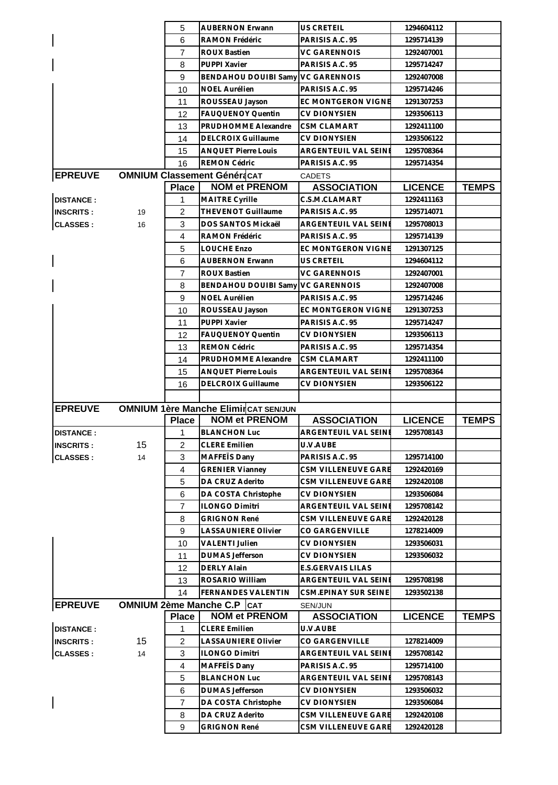|                  |          | 5                 | <b>AUBERNON Erwann</b>                      | US CRETEIL                                 | 1294604112                   |              |
|------------------|----------|-------------------|---------------------------------------------|--------------------------------------------|------------------------------|--------------|
|                  |          | 6                 | RAMON Frédéric                              | PARISIS A.C. 95                            | 1295714139                   |              |
|                  |          | $\overline{7}$    | <b>ROUX Bastien</b>                         | <b>VC GARENNOIS</b>                        | 1292407001                   |              |
|                  |          | 8                 | PUPPI Xavier                                | PARISIS A.C. 95                            | 1295714247                   |              |
|                  |          | 9                 | <b>BENDAHOU DOUIBI Samy</b>                 | <b>VC GARENNOIS</b>                        | 1292407008                   |              |
|                  |          | 10                | <b>NOEL Aurélien</b>                        | PARISIS A.C. 95                            | 1295714246                   |              |
|                  |          | 11                | ROUSSEAU Jayson                             | EC MONTGERON VIGNE                         | 1291307253                   |              |
|                  |          | 12                | <b>FAUQUENOY Quentin</b>                    | <b>CV DIONYSIEN</b>                        | 1293506113                   |              |
|                  |          | 13                | PRUDHOMME Alexandre                         | <b>CSM CLAMART</b>                         | 1292411100                   |              |
|                  |          | 14                | <b>DELCROIX Guillaume</b>                   | <b>CV DIONYSIEN</b>                        | 1293506122                   |              |
|                  |          | 15                | <b>ANQUET Pierre Louis</b>                  | ARGENTEUIL VAL SEINE                       | 1295708364                   |              |
|                  |          | 16                | <b>REMON Cédric</b>                         | PARISIS A.C. 95                            | 1295714354                   |              |
| <b>EPREUVE</b>   |          |                   | <b>OMNIUM Classement Généracat</b>          | <b>CADETS</b>                              |                              |              |
|                  |          | <b>Place</b>      | <b>NOM et PRENOM</b>                        | <b>ASSOCIATION</b>                         | <b>LICENCE</b>               | <b>TEMPS</b> |
| <b>DISTANCE:</b> |          | 1                 | MAITRE Cyrille                              | C.S.M.CLAMART                              | 1292411163                   |              |
| <b>INSCRITS:</b> | 19       | $\overline{2}$    | THEVENOT Guillaume                          | PARISIS A.C. 95                            | 1295714071                   |              |
| <b>CLASSES:</b>  | 16       | 3                 | DOS SANTOS Mickaël                          | ARGENTEUIL VAL SEINE                       | 1295708013                   |              |
|                  |          | 4                 | RAMON Frédéric                              | PARISIS A.C. 95                            | 1295714139                   |              |
|                  |          | 5                 | LOUCHE Enzo                                 | <b>EC MONTGERON VIGNE</b>                  | 1291307125                   |              |
|                  |          | 6                 | <b>AUBERNON Erwann</b>                      | US CRETEIL                                 | 1294604112                   |              |
|                  |          | $\overline{7}$    | <b>ROUX Bastien</b>                         | <b>VC GARENNOIS</b>                        | 1292407001                   |              |
|                  |          | 8                 | <b>BENDAHOU DOUIBI Samy</b>                 | <b>VC GARENNOIS</b>                        | 1292407008                   |              |
|                  |          | 9                 | NOEL Aurélien                               | PARISIS A.C. 95                            | 1295714246                   |              |
|                  |          | 10                | ROUSSEAU Jayson                             | EC MONTGERON VIGNE                         | 1291307253                   |              |
|                  |          | 11                | PUPPI Xavier                                | PARISIS A.C. 95                            | 1295714247                   |              |
|                  |          | 12                | FAUQUENOY Quentin                           | <b>CV DIONYSIEN</b>                        | 1293506113                   |              |
|                  |          | 13                | REMON Cédric                                | PARISIS A.C. 95                            | 1295714354                   |              |
|                  |          | 14                | PRUDHOMME Alexandre                         | <b>CSM CLAMART</b>                         | 1292411100                   |              |
|                  |          | 15                | <b>ANQUET Pierre Louis</b>                  | ARGENTEUIL VAL SEINE                       | 1295708364                   |              |
|                  |          | 16                | <b>DELCROIX Guillaume</b>                   | <b>CV DIONYSIEN</b>                        | 1293506122                   |              |
|                  |          |                   |                                             |                                            |                              |              |
|                  |          |                   |                                             |                                            |                              |              |
|                  |          |                   |                                             |                                            |                              |              |
| <b>EPREUVE</b>   |          |                   | OMNIUM 1ère Manche Elimir CAT SEN/JUN       |                                            |                              |              |
| <b>DISTANCE:</b> |          | <b>Place</b><br>1 | <b>NOM et PRENOM</b><br><b>BLANCHON Luc</b> | <b>ASSOCIATION</b><br>ARGENTEUIL VAL SEINE | <b>LICENCE</b><br>1295708143 | <b>TEMPS</b> |
| <b>INSCRITS:</b> |          | 2                 | <b>CLERE Emilien</b>                        | U.V.AUBE                                   |                              |              |
|                  | 15<br>14 | 3                 | MAFFEIS Dany                                | PARISIS A.C. 95                            | 1295714100                   |              |
| <b>CLASSES:</b>  |          | $\overline{4}$    | <b>GRENIER Vianney</b>                      | CSM VILLENEUVE GARE                        | 1292420169                   |              |
|                  |          | 5                 | DA CRUZ Aderito                             | CSM VILLENEUVE GARE                        | 1292420108                   |              |
|                  |          | 6                 | DA COSTA Christophe                         | <b>CV DIONYSIEN</b>                        | 1293506084                   |              |
|                  |          | $\overline{7}$    | <b>ILONGO Dimitri</b>                       | ARGENTEUIL VAL SEINE                       | 1295708142                   |              |
|                  |          | 8                 | <b>GRIGNON René</b>                         | <b>CSM VILLENEUVE GARE</b>                 | 1292420128                   |              |
|                  |          | 9                 | <b>LASSAUNIERE Olivier</b>                  | CO GARGENVILLE                             | 1278214009                   |              |
|                  |          | 10                | <b>VALENTI Julien</b>                       | <b>CV DIONYSIEN</b>                        | 1293506031                   |              |
|                  |          | 11                | <b>DUMAS Jefferson</b>                      | <b>CV DIONYSIEN</b>                        | 1293506032                   |              |
|                  |          | 12                | <b>DERLY Alain</b>                          | E.S.GERVAIS LILAS                          |                              |              |
|                  |          |                   | ROSARIO William                             | ARGENTEUIL VAL SEINE                       | 1295708198                   |              |
|                  |          | 13<br>14          | FERNANDES VALENTIN                          | CSM.EPINAY SUR SEINE                       | 1293502138                   |              |
|                  |          |                   | <b>OMNIUM 2ème Manche C.P   CAT</b>         | SEN/JUN                                    |                              |              |
| <b>EPREUVE</b>   |          | <b>Place</b>      | <b>NOM et PRENOM</b>                        | <b>ASSOCIATION</b>                         | <b>LICENCE</b>               | <b>TEMPS</b> |
| <b>DISTANCE:</b> |          | 1                 | <b>CLERE Emilien</b>                        | U.V.AUBE                                   |                              |              |
| <b>INSCRITS:</b> | 15       | $\overline{2}$    | <b>LASSAUNIERE Olivier</b>                  | CO GARGENVILLE                             | 1278214009                   |              |
| <b>CLASSES:</b>  | 14       | 3                 | <b>ILONGO Dimitri</b>                       | ARGENTEUIL VAL SEINE                       | 1295708142                   |              |
|                  |          | $\overline{4}$    | MAFFETS Dany                                | PARISIS A.C. 95                            | 1295714100                   |              |
|                  |          | 5                 | <b>BLANCHON Luc</b>                         | ARGENTEUIL VAL SEINE                       | 1295708143                   |              |
|                  |          | 6                 | <b>DUMAS</b> Jefferson                      | <b>CV DIONYSIEN</b>                        | 1293506032                   |              |
|                  |          | $\overline{7}$    | DA COSTA Christophe                         | <b>CV DIONYSIEN</b>                        | 1293506084                   |              |
|                  |          | 8                 | DA CRUZ Aderito                             | CSM VILLENEUVE GARE                        | 1292420108                   |              |
|                  |          | 9                 | <b>GRIGNON René</b>                         | CSM VILLENEUVE GARE                        | 1292420128                   |              |